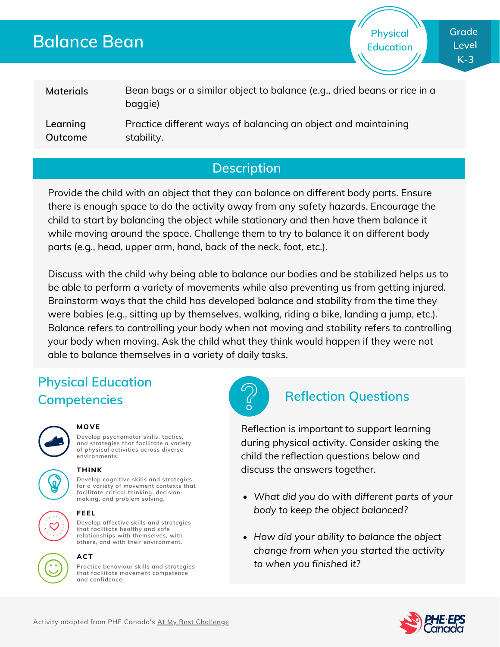# **Balance Bean**

**Physical Education**

#### **Materials Learning** Bean bags or a similar object to balance (e.g., dried beans or rice in a baggie) Practice different ways of balancing an object and maintaining

**Outcome**

stability.

**Description**

Provide the child with an object that they can balance on different body parts. Ensure there is enough space to do the activity away from any safety hazards. Encourage the child to start by balancing the object while stationary and then have them balance it while moving around the space. Challenge them to try to balance it on different body parts (e.g., head, upper arm, hand, back of the neck, foot, etc.).

Discuss with the child why being able to balance our bodies and be stabilized helps us to be able to perform a variety of movements while also preventing us from getting injured. Brainstorm ways that the child has developed balance and stability from the time they were babies (e.g., sitting up by themselves, walking, riding a bike, landing a jump, etc.). Balance refers to controlling your body when not moving and stability refers to controlling your body when moving. Ask the child what they think would happen if they were not able to balance themselves in a variety of daily tasks.

# **Physical Education Competencies Reflection Questions**



### **MOVE**

**Develop psychomotor skills, tactics, and strategies that facilitate a variety of physical activities across diverse environments.**







### **THINK**

**Develop cognitive skills and strategies for a variety of movement contexts that facilitate critical thinking, decision making, and problem solving.**



### **FEEL**

**Develop affective skills and strategies that facilitate healthy and safe relationships with themselves, with others, and with their environment.**



## **ACT**

**Practice behaviour skills and strategies that facilitate movement competence and confidence.**



Reflection is important to support learning during physical activity. Consider asking the child the reflection questions below and discuss the answers together.

- *What did you do with different parts of your body to keep the object balanced?*
- *How did your ability to balance the object change from when you started the activity to when you finished it?*